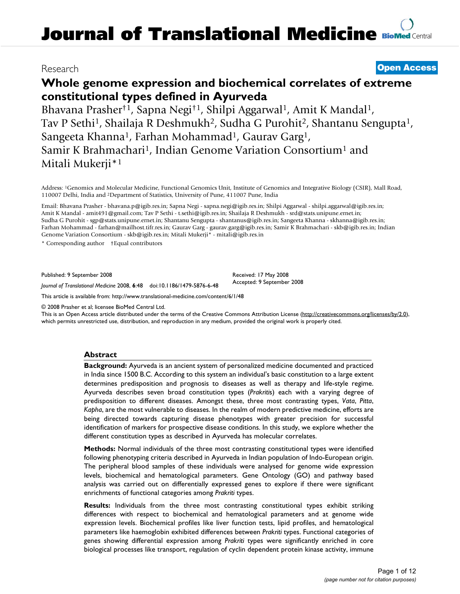# Journal of Translational Medicine [BioMed](http://www.biomedcentral.com/) Central

# Research [Open Access](http://www.biomedcentral.com/info/about/charter/)

# **Whole genome expression and biochemical correlates of extreme constitutional types defined in Ayurveda**

Bhavana Prasher<sup>†1</sup>, Sapna Negi<sup>†1</sup>, Shilpi Aggarwal<sup>1</sup>, Amit K Mandal<sup>1</sup>, Tav P Sethi<sup>1</sup>, Shailaja R Deshmukh<sup>2</sup>, Sudha G Purohit<sup>2</sup>, Shantanu Sengupta<sup>1</sup>, Sangeeta Khanna<sup>1</sup>, Farhan Mohammad<sup>1</sup>, Gaurav Garg<sup>1</sup>, Samir K Brahmachari<sup>1</sup>, Indian Genome Variation Consortium<sup>1</sup> and Mitali Mukerji\*<sup>1</sup>

Address: <sup>1</sup>Genomics and Molecular Medicine, Functional Genomics Unit, Institute of Genomics and Integrative Biology (CSIR), Mall Road, 110007 Delhi, India and <sup>2</sup>Department of Statistics, University of Pune, 411007 Pune, India

Email: Bhavana Prasher - bhavana.p@igib.res.in; Sapna Negi - sapna.negi@igib.res.in; Shilpi Aggarwal - shilpi.aggarwal@igib.res.in; Amit K Mandal - amit491@gmail.com; Tav P Sethi - t.sethi@igib.res.in; Shailaja R Deshmukh - srd@stats.unipune.ernet.in; Sudha G Purohit - sgp@stats.unipune.ernet.in; Shantanu Sengupta - shantanus@igib.res.in; Sangeeta Khanna - skhanna@igib.res.in; Farhan Mohammad - farhan@mailhost.tifr.res.in; Gaurav Garg - gaurav.garg@igib.res.in; Samir K Brahmachari - skb@igib.res.in; Indian Genome Variation Consortium - skb@igib.res.in; Mitali Mukerji\* - mitali@igib.res.in

\* Corresponding author †Equal contributors

Published: 9 September 2008

*Journal of Translational Medicine* 2008, **6**:48 doi:10.1186/1479-5876-6-48

[This article is available from: http://www.translational-medicine.com/content/6/1/48](http://www.translational-medicine.com/content/6/1/48)

© 2008 Prasher et al; licensee BioMed Central Ltd.

This is an Open Access article distributed under the terms of the Creative Commons Attribution License [\(http://creativecommons.org/licenses/by/2.0\)](http://creativecommons.org/licenses/by/2.0), which permits unrestricted use, distribution, and reproduction in any medium, provided the original work is properly cited.

Received: 17 May 2008 Accepted: 9 September 2008

#### **Abstract**

**Background:** Ayurveda is an ancient system of personalized medicine documented and practiced in India since 1500 B.C. According to this system an individual's basic constitution to a large extent determines predisposition and prognosis to diseases as well as therapy and life-style regime. Ayurveda describes seven broad constitution types (*Prakriti*s) each with a varying degree of predisposition to different diseases. Amongst these, three most contrasting types, *Vata*, *Pitta*, Kapha, are the most vulnerable to diseases. In the realm of modern predictive medicine, efforts are being directed towards capturing disease phenotypes with greater precision for successful identification of markers for prospective disease conditions. In this study, we explore whether the different constitution types as described in Ayurveda has molecular correlates.

**Methods:** Normal individuals of the three most contrasting constitutional types were identified following phenotyping criteria described in Ayurveda in Indian population of Indo-European origin. The peripheral blood samples of these individuals were analysed for genome wide expression levels, biochemical and hematological parameters. Gene Ontology (GO) and pathway based analysis was carried out on differentially expressed genes to explore if there were significant enrichments of functional categories among *Prakriti* types.

**Results:** Individuals from the three most contrasting constitutional types exhibit striking differences with respect to biochemical and hematological parameters and at genome wide expression levels. Biochemical profiles like liver function tests, lipid profiles, and hematological parameters like haemoglobin exhibited differences between *Prakriti* types. Functional categories of genes showing differential expression among *Prakriti* types were significantly enriched in core biological processes like transport, regulation of cyclin dependent protein kinase activity, immune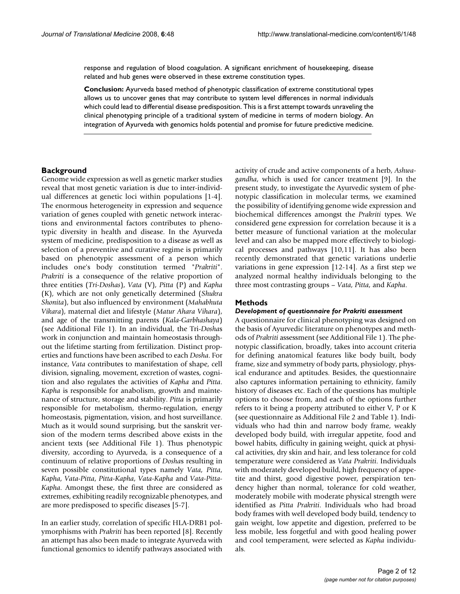response and regulation of blood coagulation. A significant enrichment of housekeeping, disease related and hub genes were observed in these extreme constitution types.

**Conclusion:** Ayurveda based method of phenotypic classification of extreme constitutional types allows us to uncover genes that may contribute to system level differences in normal individuals which could lead to differential disease predisposition. This is a first attempt towards unraveling the clinical phenotyping principle of a traditional system of medicine in terms of modern biology. An integration of Ayurveda with genomics holds potential and promise for future predictive medicine.

#### **Background**

Genome wide expression as well as genetic marker studies reveal that most genetic variation is due to inter-individual differences at genetic loci within populations [1-4]. The enormous heterogeneity in expression and sequence variation of genes coupled with genetic network interactions and environmental factors contributes to phenotypic diversity in health and disease. In the Ayurveda system of medicine, predisposition to a disease as well as selection of a preventive and curative regime is primarily based on phenotypic assessment of a person which includes one's body constitution termed "*Prakriti*". *Prakriti* is a consequence of the relative proportion of three entities (*Tri-Doshas*), *Vata* (V), *Pitta* (P) and *Kapha* (K), which are not only genetically determined (*Shukra Shonita*), but also influenced by environment (*Mahabhuta Vikara*), maternal diet and lifestyle (*Matur Ahara Vihara*), and age of the transmitting parents (*Kala-Garbhashaya*) (see Additional File 1). In an individual, the Tri-*Dosha*s work in conjunction and maintain homeostasis throughout the lifetime starting from fertilization. Distinct properties and functions have been ascribed to each *Dosha*. For instance, *Vata* contributes to manifestation of shape, cell division, signaling, movement, excretion of wastes, cognition and also regulates the activities of *Kapha* and *Pitta*. *Kapha* is responsible for anabolism, growth and maintenance of structure, storage and stability. *Pitta* is primarily responsible for metabolism, thermo-regulation, energy homeostasis, pigmentation, vision, and host surveillance. Much as it would sound surprising, but the sanskrit version of the modern terms described above exists in the ancient texts (see Additional File 1). Thus phenotypic diversity, according to Ayurveda, is a consequence of a continuum of relative proportions of *Dosha*s resulting in seven possible constitutional types namely *Vata*, *Pitta*, *Kapha*, *Vata*-*Pitta*, *Pitta*-*Kapha*, *Vata*-*Kapha* and *Vata*-*Pitta*-*Kapha*. Amongst these, the first three are considered as extremes, exhibiting readily recognizable phenotypes, and are more predisposed to specific diseases [5-7].

In an earlier study, correlation of specific HLA-DRB1 polymorphisms with *Prakriti* has been reported [8]. Recently an attempt has also been made to integrate Ayurveda with functional genomics to identify pathways associated with

activity of crude and active components of a herb, *Ashwagandha*, which is used for cancer treatment [9]. In the present study, to investigate the Ayurvedic system of phenotypic classification in molecular terms, we examined the possibility of identifying genome wide expression and biochemical differences amongst the *Prakriti* types. We considered gene expression for correlation because it is a better measure of functional variation at the molecular level and can also be mapped more effectively to biological processes and pathways [10,11]. It has also been recently demonstrated that genetic variations underlie variations in gene expression [12-14]. As a first step we analyzed normal healthy individuals belonging to the three most contrasting groups – *Vata*, *Pitta*, and *Kapha*.

#### **Methods**

#### *Development of questionnaire for Prakriti assessment*

A questionnaire for clinical phenotyping was designed on the basis of Ayurvedic literature on phenotypes and methods of *Prakriti* assessment (see Additional File 1). The phenotypic classification, broadly, takes into account criteria for defining anatomical features like body built, body frame, size and symmetry of body parts, physiology, physical endurance and aptitudes. Besides, the questionnaire also captures information pertaining to ethnicity, family history of diseases etc. Each of the questions has multiple options to choose from, and each of the options further refers to it being a property attributed to either V, P or K (see questionnaire as Additional File 2 and Table 1). Individuals who had thin and narrow body frame, weakly developed body build, with irregular appetite, food and bowel habits, difficulty in gaining weight, quick at physical activities, dry skin and hair, and less tolerance for cold temperature were considered as *Vata Prakriti*. Individuals with moderately developed build, high frequency of appetite and thirst, good digestive power, perspiration tendency higher than normal, tolerance for cold weather, moderately mobile with moderate physical strength were identified as *Pitta Prakriti*. Individuals who had broad body frames with well developed body build, tendency to gain weight, low appetite and digestion, preferred to be less mobile, less forgetful and with good healing power and cool temperament, were selected as *Kapha* individuals.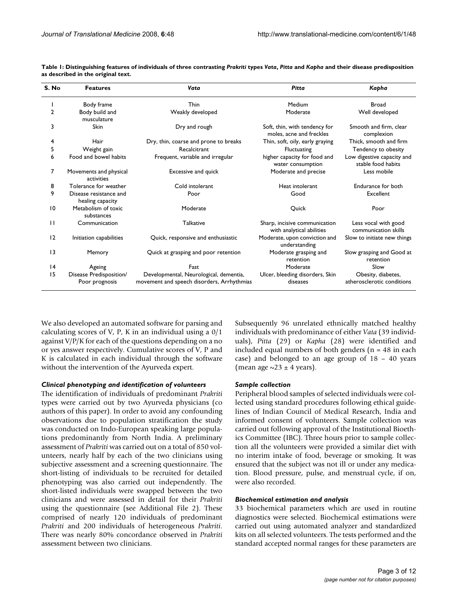| S. No          | <b>Features</b>                            | Vata                                                                                 | Pitta                                                      | Kapha                                            |
|----------------|--------------------------------------------|--------------------------------------------------------------------------------------|------------------------------------------------------------|--------------------------------------------------|
|                | Body frame                                 | Thin                                                                                 | Medium                                                     | <b>Broad</b>                                     |
| $\overline{2}$ | Body build and<br>musculature              | Weakly developed                                                                     | Moderate                                                   | Well developed                                   |
| 3              | <b>Skin</b>                                | Dry and rough                                                                        | Soft, thin, with tendency for<br>moles, acne and freckles  | Smooth and firm, clear<br>complexion             |
| 4              | Hair                                       | Dry, thin, coarse and prone to breaks                                                | Thin, soft, oily, early graying                            | Thick, smooth and firm                           |
| 5              | Weight gain                                | Recalcitrant                                                                         | Fluctuating                                                | Tendency to obesity                              |
| 6              | Food and bowel habits                      | Frequent, variable and irregular                                                     | higher capacity for food and<br>water consumption          | Low digestive capacity and<br>stable food habits |
| 7              | Movements and physical<br>activities       | Excessive and quick                                                                  | Moderate and precise                                       | Less mobile                                      |
| 8              | Tolerance for weather                      | Cold intolerant                                                                      | Heat intolerant                                            | Endurance for both                               |
| 9              | Disease resistance and<br>healing capacity | Poor                                                                                 | Good                                                       | Excellent                                        |
| 10             | Metabolism of toxic<br>substances          | Moderate                                                                             | Quick                                                      | Poor                                             |
| $\mathbf{H}$   | Communication                              | <b>Talkative</b>                                                                     | Sharp, incisive communication<br>with analytical abilities | Less vocal with good<br>communication skills     |
| 12             | Initiation capabilities                    | Quick, responsive and enthusiastic                                                   | Moderate, upon conviction and<br>understanding             | Slow to initiate new things                      |
| 13             | Memory                                     | Quick at grasping and poor retention                                                 | Moderate grasping and<br>retention                         | Slow grasping and Good at<br>retention           |
| 4              | Ageing                                     | Fast                                                                                 | Moderate                                                   | Slow                                             |
| 15             | Disease Predisposition/<br>Poor prognosis  | Developmental, Neurological, dementia,<br>movement and speech disorders, Arrhythmias | Ulcer, bleeding disorders, Skin<br>diseases                | Obesity, diabetes,<br>atherosclerotic conditions |

**Table 1: Distinguishing features of individuals of three contrasting** *Prakriti* **types** *Vata***,** *Pitta* **and** *Kapha* **and their disease predisposition as described in the original text.**

We also developed an automated software for parsing and calculating scores of V, P, K in an individual using a  $0/1$ against V/P/K for each of the questions depending on a no or yes answer respectively. Cumulative scores of V, P and K is calculated in each individual through the software without the intervention of the Ayurveda expert.

#### *Clinical phenotyping and identification of volunteers*

The identification of individuals of predominant *Prakriti* types were carried out by two Ayurveda physicians (co authors of this paper). In order to avoid any confounding observations due to population stratification the study was conducted on Indo-European speaking large populations predominantly from North India. A preliminary assessment of *Prakriti* was carried out on a total of 850 volunteers, nearly half by each of the two clinicians using subjective assessment and a screening questionnaire. The short-listing of individuals to be recruited for detailed phenotyping was also carried out independently. The short-listed individuals were swapped between the two clinicians and were assessed in detail for their *Prakriti* using the questionnaire (see Additional File 2). These comprised of nearly 120 individuals of predominant *Prakriti* and 200 individuals of heterogeneous *Prakriti*. There was nearly 80% concordance observed in *Prakriti* assessment between two clinicians.

Subsequently 96 unrelated ethnically matched healthy individuals with predominance of either *Vata* (39 individuals), *Pitta* (29) or *Kapha* (28) were identified and included equal numbers of both genders ( $n = 48$  in each case) and belonged to an age group of 18 – 40 years (mean age  $\sim$ 23 ± 4 years).

#### *Sample collection*

Peripheral blood samples of selected individuals were collected using standard procedures following ethical guidelines of Indian Council of Medical Research, India and informed consent of volunteers. Sample collection was carried out following approval of the Institutional Bioethics Committee (IBC). Three hours prior to sample collection all the volunteers were provided a similar diet with no interim intake of food, beverage or smoking. It was ensured that the subject was not ill or under any medication. Blood pressure, pulse, and menstrual cycle, if on, were also recorded.

#### *Biochemical estimation and analysis*

33 biochemical parameters which are used in routine diagnostics were selected. Biochemical estimations were carried out using automated analyzer and standardized kits on all selected volunteers. The tests performed and the standard accepted normal ranges for these parameters are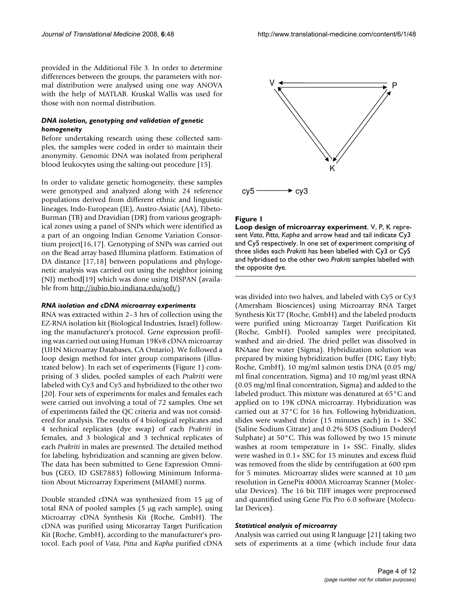provided in the Additional File 3. In order to determine differences between the groups, the parameters with normal distribution were analysed using one way ANOVA with the help of MATLAB. Kruskal Wallis was used for those with non normal distribution.

#### *DNA isolation, genotyping and validation of genetic homogeneity*

Before undertaking research using these collected samples, the samples were coded in order to maintain their anonymity. Genomic DNA was isolated from peripheral blood leukocytes using the salting-out procedure [15].

In order to validate genetic homogeneity, these samples were genotyped and analyzed along with 24 reference populations derived from different ethnic and linguistic lineages, Indo-European (IE), Austro-Asiatic (AA), Tibeto-Burman (TB) and Dravidian (DR) from various geographical zones using a panel of SNPs which were identified as a part of an ongoing Indian Genome Variation Consortium project[16,17]. Genotyping of SNPs was carried out on the Bead array based Illumina platform. Estimation of DA distance [17,18] between populations and phylogenetic analysis was carried out using the neighbor joining (NJ) method[19] which was done using DISPAN (available from [http://iubio.bio.indiana.edu/soft/\)](http://iubio.bio.indiana.edu/soft/)

#### *RNA isolation and cDNA microarray experiments*

RNA was extracted within 2–3 hrs of collection using the EZ-RNA isolation kit (Biological Industries, Israel) following the manufacturer's protocol. Gene expression profiling was carried out using Human 19Kv8 cDNA microarray (UHN Microarray Databases, CA Ontario). We followed a loop design method for inter group comparisons (illustrated below). In each set of experiments (Figure 1) comprising of 3 slides, pooled samples of each *Prakriti* were labeled with Cy3 and Cy5 and hybridized to the other two [20]. Four sets of experiments for males and females each were carried out involving a total of 72 samples. One set of experiments failed the QC criteria and was not considered for analysis. The results of 4 biological replicates and 4 technical replicates (dye swap) of each *Prakriti* in females, and 3 biological and 3 technical replicates of each *Prakriti* in males are presented. The detailed method for labeling, hybridization and scanning are given below. The data has been submitted to Gene Expression Omnibus (GEO, ID GSE7883) following Minimum Information About Microarray Experiment (MIAME) norms.

Double stranded cDNA was synthesized from 15 μg of total RNA of pooled samples (5 μg each sample), using Microarray cDNA Synthesis Kit (Roche, GmbH). The cDNA was purified using Micorarray Target Purification Kit (Roche, GmbH), according to the manufacturer's protocol. Each pool of *Vata*, *Pitta* and *Kapha* purified cDNA



#### **Figure 1**

**Loop design of microarray experiment**. V, P, K represent *Vata*, *Pitta*, *Kapha* and arrow head and tail indicate Cy3 and Cy5 respectively. In one set of experiment comprising of three slides each *Prakriti* has been labelled with Cy3 or Cy5 and hybridised to the other two *Prakriti* samples labelled with the opposite dye.

was divided into two halves, and labeled with Cy5 or Cy3 (Amersham Biosciences) using Microarray RNA Target Synthesis Kit T7 (Roche, GmbH) and the labeled products were purified using Microarray Target Purification Kit (Roche, GmbH). Pooled samples were precipitated, washed and air-dried. The dried pellet was dissolved in RNAase free water (Sigma). Hybridization solution was prepared by mixing hybridization buffer (DIG Easy Hyb; Roche, GmbH), 10 mg/ml salmon testis DNA (0.05 mg/ ml final concentration, Sigma) and 10 mg/ml yeast tRNA (0.05 mg/ml final concentration, Sigma) and added to the labeled product. This mixture was denatured at 65°C and applied on to 19K cDNA microarray. Hybridization was carried out at 37°C for 16 hrs. Following hybridization, slides were washed thrice (15 minutes each) in  $1 \times SSC$ (Saline Sodium Citrate) and 0.2% SDS (Sodium Dodecyl Sulphate) at 50°C. This was followed by two 15 minute washes at room temperature in  $1 \times$  SSC. Finally, slides were washed in 0.1× SSC for 15 minutes and excess fluid was removed from the slide by centrifugation at 600 rpm for 5 minutes. Microarray slides were scanned at 10 μm resolution in GenePix 4000A Microarray Scanner (Molecular Devices). The 16 bit TIFF images were preprocessed and quantified using Gene Pix Pro 6.0 software (Molecular Devices).

#### *Statistical analysis of microarray*

Analysis was carried out using R language [21] taking two sets of experiments at a time (which include four data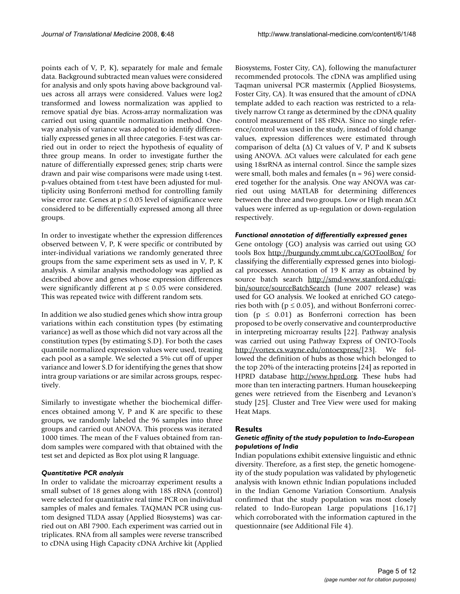points each of V, P, K), separately for male and female data. Background subtracted mean values were considered for analysis and only spots having above background values across all arrays were considered. Values were log2 transformed and lowess normalization was applied to remove spatial dye bias. Across-array normalization was carried out using quantile normalization method. Oneway analysis of variance was adopted to identify differentially expressed genes in all three categories. F-test was carried out in order to reject the hypothesis of equality of three group means. In order to investigate further the nature of differentially expressed genes; strip charts were drawn and pair wise comparisons were made using t-test. p-values obtained from t-test have been adjusted for multiplicity using Bonferroni method for controlling family wise error rate. Genes at  $p \le 0.05$  level of significance were considered to be differentially expressed among all three groups.

In order to investigate whether the expression differences observed between V, P, K were specific or contributed by inter-individual variations we randomly generated three groups from the same experiment sets as used in V, P, K analysis. A similar analysis methodology was applied as described above and genes whose expression differences were significantly different at  $p \leq 0.05$  were considered. This was repeated twice with different random sets.

In addition we also studied genes which show intra group variations within each constitution types (by estimating variance) as well as those which did not vary across all the constitution types (by estimating S.D). For both the cases quantile normalized expression values were used, treating each pool as a sample. We selected a 5% cut off of upper variance and lower S.D for identifying the genes that show intra group variations or are similar across groups, respectively.

Similarly to investigate whether the biochemical differences obtained among V, P and K are specific to these groups, we randomly labeled the 96 samples into three groups and carried out ANOVA. This process was iterated 1000 times. The mean of the F values obtained from random samples were compared with that obtained with the test set and depicted as Box plot using R language.

#### *Quantitative PCR analysis*

In order to validate the microarray experiment results a small subset of 18 genes along with 18S rRNA (control) were selected for quantitative real time PCR on individual samples of males and females. TAQMAN PCR using custom designed TLDA assay (Applied Biosystems) was carried out on ABI 7900. Each experiment was carried out in triplicates. RNA from all samples were reverse transcribed to cDNA using High Capacity cDNA Archive kit (Applied Biosystems, Foster City, CA), following the manufacturer recommended protocols. The cDNA was amplified using Taqman universal PCR mastermix (Applied Biosystems, Foster City, CA). It was ensured that the amount of cDNA template added to each reaction was restricted to a relatively narrow Ct range as determined by the cDNA quality control measurement of 18S rRNA. Since no single reference/control was used in the study, instead of fold change values, expression differences were estimated through comparison of delta  $(Δ)$  Ct values of V, P and K subsets using ANOVA. ΔCt values were calculated for each gene using 18srRNA as internal control. Since the sample sizes were small, both males and females  $(n = 96)$  were considered together for the analysis. One way ANOVA was carried out using MATLAB for determining differences between the three and two groups. Low or High mean ΔCt values were inferred as up-regulation or down-regulation respectively.

#### *Functional annotation of differentially expressed genes*

Gene ontology (GO) analysis was carried out using GO tools Box <http://burgundy.cmmt.ubc.ca/GOToolBox/>for classifying the differentially expressed genes into biological processes. Annotation of 19 K array as obtained by source batch search [http://smd-www.stanford.edu/cgi](http://smd-www.stanford.edu/cgi-bin/source/sourceBatchSearch)[bin/source/sourceBatchSearch](http://smd-www.stanford.edu/cgi-bin/source/sourceBatchSearch) (June 2007 release) was used for GO analysis. We looked at enriched GO categories both with ( $p \le 0.05$ ), and without Bonferroni correction ( $p \leq 0.01$ ) as Bonferroni correction has been proposed to be overly conservative and counterproductive in interpreting microarray results [22]. Pathway analysis was carried out using Pathway Express of ONTO-Tools <http://vortex.cs.wayne.edu/ontoexpress/>[23]. We followed the definition of hubs as those which belonged to the top 20% of the interacting proteins [24] as reported in HPRD database <http://www.hprd.org>. These hubs had more than ten interacting partners. Human housekeeping genes were retrieved from the Eisenberg and Levanon's study [25]. Cluster and Tree View were used for making Heat Maps.

#### **Results**

#### *Genetic affinity of the study population to Indo-European populations of India*

Indian populations exhibit extensive linguistic and ethnic diversity. Therefore, as a first step, the genetic homogeneity of the study population was validated by phylogenetic analysis with known ethnic Indian populations included in the Indian Genome Variation Consortium. Analysis confirmed that the study population was most closely related to Indo-European Large populations [16,17] which corroborated with the information captured in the questionnaire (see Additional File 4).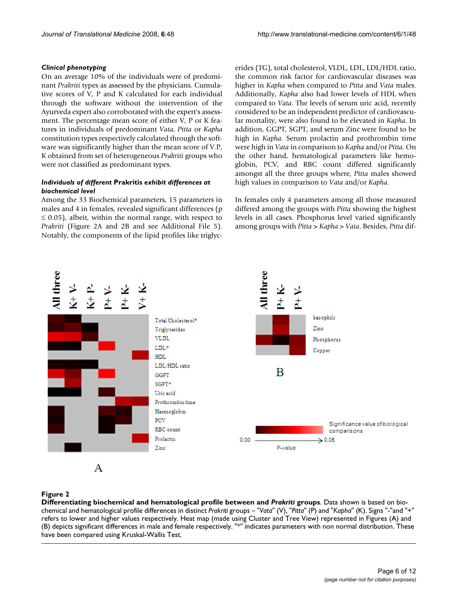#### *Clinical phenotyping*

On an average 10% of the individuals were of predominant *Prakriti* types as assessed by the physicians. Cumulative scores of V, P and K calculated for each individual through the software without the intervention of the Ayurveda expert also corroborated with the expert's assessment. The percentage mean score of either V, P or K features in individuals of predominant *Vata*, *Pitta* or *Kapha* constitution types respectively calculated through the software was significantly higher than the mean score of V.P, K obtained from set of heterogeneous *Prakriti* groups who were not classified as predominant types.

#### *Individuals of different* **Prakritis** *exhibit differences at biochemical level*

Among the 33 Biochemical parameters, 15 parameters in males and 4 in females, revealed significant differences (p  $\leq$  0.05), albeit, within the normal range, with respect to *Prakriti* (Figure 2A and 2B and see Additional File 5). Notably, the components of the lipid profiles like triglycerides (TG), total cholesterol, VLDL, LDL, LDL/HDL ratio, the common risk factor for cardiovascular diseases was higher in *Kapha* when compared to *Pitta* and *Vata* males. Additionally, *Kapha* also had lower levels of HDL when compared to *Vata*. The levels of serum uric acid, recently considered to be an independent predictor of cardiovascular mortality, were also found to be elevated in *Kapha*. In addition, GGPT, SGPT, and serum Zinc were found to be high in *Kapha*. Serum prolactin and prothrombin time were high in *Vata* in comparison to *Kapha* and/or *Pitta*. On the other hand, hematological parameters like hemoglobin, PCV, and RBC count differed significantly amongst all the three groups where, *Pitta* males showed high values in comparison to *Vata* and/or *Kapha*.

In females only 4 parameters among all those measured differed among the groups with *Pitta* showing the highest levels in all cases. Phosphorus level varied significantly among groups with *Pitta* > *Kapha* > *Vata*. Besides, *Pitta* dif-



#### Differentiating biochemical and he **Figure 2** matological profile between and *Prakriti* groups

**Differentiating biochemical and hematological profile between and** *Prakriti* **groups**. Data shown is based on biochemical and hematological profile differences in distinct *Prakriti* groups – "*Vata*" (V), "*Pitta*" (P) and "*Kapha*" (K). Signs "-"and "+" refers to lower and higher values respectively. Heat map (made using Cluster and Tree View) represented in Figures (A) and (B) depicts significant differences in male and female respectively. "\*" indicates parameters with non normal distribution. These have been compared using Kruskal-Wallis Test.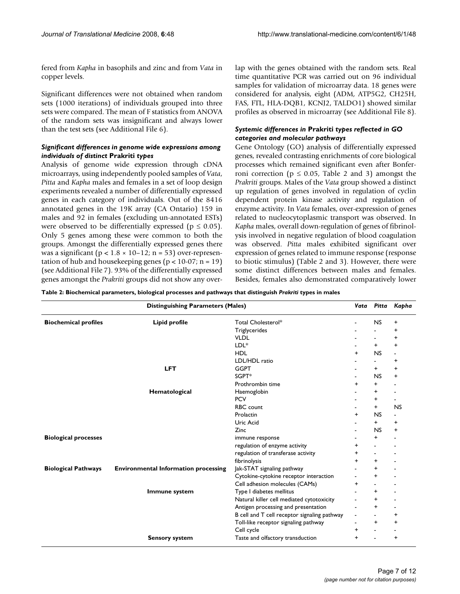fered from *Kapha* in basophils and zinc and from *Vata* in copper levels.

Significant differences were not obtained when random sets (1000 iterations) of individuals grouped into three sets were compared. The mean of F statistics from ANOVA of the random sets was insignificant and always lower than the test sets (see Additional File 6).

#### *Significant differences in genome wide expressions among individuals of distinct* **Prakriti** *types*

Analysis of genome wide expression through cDNA microarrays, using independently pooled samples of *Vata*, *Pitta* and *Kapha* males and females in a set of loop design experiments revealed a number of differentially expressed genes in each category of individuals. Out of the 8416 annotated genes in the 19K array (CA Ontario) 159 in males and 92 in females (excluding un-annotated ESTs) were observed to be differentially expressed ( $p \le 0.05$ ). Only 5 genes among these were common to both the groups. Amongst the differentially expressed genes there was a significant ( $p < 1.8 \times 10 - 12$ ; n = 53) over-representation of hub and housekeeping genes ( $p < 10-07$ ; n = 19) (see Additional File 7). 93% of the differentially expressed genes amongst the *Prakriti* groups did not show any overlap with the genes obtained with the random sets. Real time quantitative PCR was carried out on 96 individual samples for validation of microarray data. 18 genes were considered for analysis, eight (ADM, ATP5G2, CH25H, FAS, FTL, HLA-DQB1, KCNJ2, TALDO1) showed similar profiles as observed in microarray (see Additional File 8).

### *Systemic differences in* **Prakriti** *types reflected in GO categories and molecular pathways*

Gene Ontology (GO) analysis of differentially expressed genes, revealed contrasting enrichments of core biological processes which remained significant even after Bonferroni correction ( $p \le 0.05$ , Table 2 and 3) amongst the *Prakriti* groups. Males of the *Vata* group showed a distinct up regulation of genes involved in regulation of cyclin dependent protein kinase activity and regulation of enzyme activity. In *Vata* females, over-expression of genes related to nucleocytoplasmic transport was observed. In *Kapha* males, overall down-regulation of genes of fibrinolysis involved in negative regulation of blood coagulation was observed. *Pitta* males exhibited significant over expression of genes related to immune response (response to biotic stimulus) (Table 2 and 3). However, there were some distinct differences between males and females. Besides, females also demonstrated comparatively lower

**Table 2: Biochemical parameters, biological processes and pathways that distinguish** *Prakriti* **types in males**

| <b>Distinguishing Parameters (Males)</b> |                                             |                                              | Vata                     | Pitta                        | Kapha          |
|------------------------------------------|---------------------------------------------|----------------------------------------------|--------------------------|------------------------------|----------------|
| <b>Biochemical profiles</b>              | Lipid profile                               | Total Cholesterol*                           | <b>NS</b>                |                              | +              |
|                                          |                                             | Triglycerides                                |                          |                              | +              |
|                                          |                                             | <b>VLDL</b>                                  |                          | $\qquad \qquad \blacksquare$ | +              |
|                                          |                                             | $LDL^*$                                      |                          | $\ddot{}$                    | +              |
|                                          |                                             | <b>HDL</b>                                   | $\ddot{}$                | <b>NS</b>                    |                |
|                                          |                                             | LDL/HDL ratio                                |                          | ٠                            | +              |
|                                          | <b>LFT</b>                                  | <b>GGPT</b>                                  |                          | $\ddot{}$                    | +              |
|                                          |                                             | SGPT*                                        |                          | <b>NS</b>                    | $\ddot{}$      |
|                                          |                                             | Prothrombin time                             | $\ddot{}$                | $\ddot{}$                    |                |
|                                          | Hematological                               | Haemoglobin                                  |                          | +                            |                |
|                                          |                                             | <b>PCV</b>                                   |                          | $\ddot{}$                    | $\blacksquare$ |
|                                          |                                             | <b>RBC</b> count                             |                          | $\ddot{}$                    | <b>NS</b>      |
|                                          |                                             | Prolactin                                    | +                        | <b>NS</b>                    |                |
|                                          |                                             | Uric Acid                                    |                          | $^{+}$                       | +              |
|                                          |                                             | Zinc                                         |                          | <b>NS</b>                    | +              |
| <b>Biological processes</b>              |                                             | immune response                              |                          | $\ddot{}$                    |                |
|                                          |                                             | regulation of enzyme activity                | +                        |                              |                |
|                                          |                                             | regulation of transferase activity           | +                        |                              |                |
|                                          |                                             | fibrinolysis                                 | +                        | +                            |                |
| <b>Biological Pathways</b>               | <b>Environmental Information processing</b> | Jak-STAT signaling pathway                   |                          | +                            |                |
|                                          |                                             | Cytokine-cytokine receptor interaction       |                          | +                            |                |
|                                          |                                             | Cell adhesion molecules (CAMs)               | $\ddot{}$                | $\qquad \qquad \blacksquare$ |                |
|                                          | Immune system                               | Type I diabetes mellitus                     |                          | +                            |                |
|                                          |                                             | Natural killer cell mediated cytotoxicity    |                          | +                            |                |
|                                          |                                             | Antigen processing and presentation          |                          | $\ddot{}$                    | $\blacksquare$ |
|                                          |                                             | B cell and T cell receptor signaling pathway |                          | $\qquad \qquad \blacksquare$ | +              |
|                                          |                                             | Toll-like receptor signaling pathway         | $\overline{\phantom{a}}$ | +                            | +              |
|                                          |                                             | Cell cycle                                   | $\ddot{}$                |                              | $\blacksquare$ |
|                                          | <b>Sensory system</b>                       | Taste and olfactory transduction             | $\ddot{}$                |                              | +              |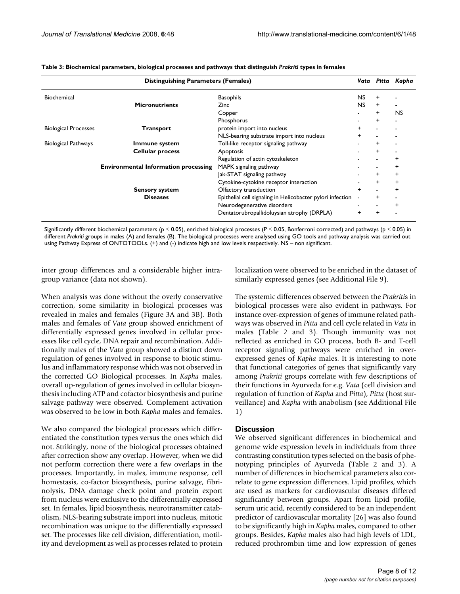| <b>Distinguishing Parameters (Females)</b> |                                             |                                                            |                          |           | Vata Pitta Kapha |
|--------------------------------------------|---------------------------------------------|------------------------------------------------------------|--------------------------|-----------|------------------|
| Biochemical                                |                                             | <b>Basophils</b>                                           |                          | +         |                  |
|                                            | <b>Micronutrients</b>                       | Zinc                                                       | NS.                      | $\ddot{}$ |                  |
|                                            |                                             | Copper                                                     |                          | $\ddot{}$ | <b>NS</b>        |
|                                            |                                             | Phosphorus                                                 |                          | $\ddot{}$ |                  |
| <b>Biological Processes</b>                | Transport                                   | protein import into nucleus                                | +                        |           |                  |
|                                            |                                             | NLS-bearing substrate import into nucleus                  | +                        |           |                  |
| <b>Biological Pathways</b>                 | Immune system                               | Toll-like receptor signaling pathway                       |                          | +         |                  |
|                                            | <b>Cellular process</b>                     | Apoptosis                                                  |                          | $\ddot{}$ |                  |
|                                            |                                             | Regulation of actin cytoskeleton                           |                          |           | +                |
|                                            | <b>Environmental Information processing</b> | MAPK signaling pathway                                     |                          |           | +                |
|                                            |                                             | Jak-STAT signaling pathway                                 |                          | $\ddot{}$ | $\ddot{}$        |
|                                            |                                             | Cytokine-cytokine receptor interaction                     |                          | +         | $\ddot{}$        |
|                                            | <b>Sensory system</b>                       | Olfactory transduction                                     | +                        |           | +                |
|                                            | <b>Diseases</b>                             | Epithelial cell signaling in Helicobacter pylori infection | $\overline{\phantom{a}}$ | $\ddot{}$ |                  |
|                                            |                                             | Neurodegenerative disorders                                |                          |           | +                |
|                                            |                                             | Dentatorubropallidoluysian atrophy (DRPLA)                 | +                        | $\ddot{}$ |                  |

**Table 3: Biochemical parameters, biological processes and pathways that distinguish** *Prakriti* **types in females**

Significantly different biochemical parameters ( $p \le 0.05$ ), enriched biological processes ( $P \le 0.05$ , Bonferroni corrected) and pathways ( $p \le 0.05$ ) in different *Prakriti* groups in males (A) and females (B). The biological processes were analysed using GO tools and pathway analysis was carried out using Pathway Express of ONTOTOOLs. (+) and (-) indicate high and low levels respectively. NS – non significant.

inter group differences and a considerable higher intragroup variance (data not shown).

When analysis was done without the overly conservative correction, some similarity in biological processes was revealed in males and females (Figure 3A and 3B). Both males and females of *Vata* group showed enrichment of differentially expressed genes involved in cellular processes like cell cycle, DNA repair and recombination. Additionally males of the *Vata* group showed a distinct down regulation of genes involved in response to biotic stimulus and inflammatory response which was not observed in the corrected GO Biological processes. In *Kapha* males, overall up-regulation of genes involved in cellular biosynthesis including ATP and cofactor biosynthesis and purine salvage pathway were observed. Complement activation was observed to be low in both *Kapha* males and females.

We also compared the biological processes which differentiated the constitution types versus the ones which did not. Strikingly, none of the biological processes obtained after correction show any overlap. However, when we did not perform correction there were a few overlaps in the processes. Importantly, in males, immune response, cell homestasis, co-factor biosynthesis, purine salvage, fibrinolysis, DNA damage check point and protein export from nucleus were exclusive to the differentially expressed set. In females, lipid biosynthesis, neurotransmitter catabolism, NLS-bearing substrate import into nucleus, mitotic recombination was unique to the differentially expressed set. The processes like cell division, differentiation, motility and development as well as processes related to protein

localization were observed to be enriched in the dataset of similarly expressed genes (see Additional File 9).

The systemic differences observed between the *Prakriti*s in biological processes were also evident in pathways. For instance over-expression of genes of immune related pathways was observed in *Pitta* and cell cycle related in *Vata* in males (Table 2 and 3). Though immunity was not reflected as enriched in GO process, both B- and T-cell receptor signaling pathways were enriched in overexpressed genes of *Kapha* males. It is interesting to note that functional categories of genes that significantly vary among *Prakriti* groups correlate with few descriptions of their functions in Ayurveda for e.g. *Vata* (cell division and regulation of function of *Kapha* and *Pitta*), *Pitta* (host surveillance) and *Kapha* with anabolism (see Additional File 1)

#### **Discussion**

We observed significant differences in biochemical and genome wide expression levels in individuals from three contrasting constitution types selected on the basis of phenotyping principles of Ayurveda (Table 2 and 3). A number of differences in biochemical parameters also correlate to gene expression differences. Lipid profiles, which are used as markers for cardiovascular diseases differed significantly between groups. Apart from lipid profile, serum uric acid, recently considered to be an independent predictor of cardiovascular mortality [26] was also found to be significantly high in *Kapha* males, compared to other groups. Besides, *Kapha* males also had high levels of LDL, reduced prothrombin time and low expression of genes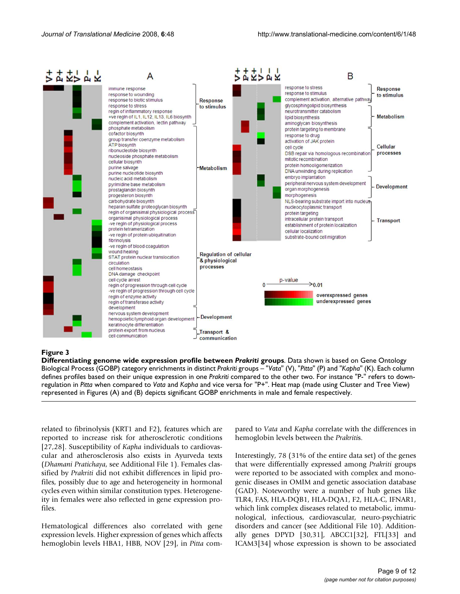

#### **Figure 3**

**Differentiating genome wide expression profile between** *Prakriti* **groups**. Data shown is based on Gene Ontology Biological Process (GOBP) category enrichments in distinct *Prakriti* groups – "*Vata*" (V), "*Pitta*" (P) and "*Kapha*" (K). Each column defines profiles based on their unique expression in one *Prakriti* compared to the other two. For instance "P-" refers to downregulation in *Pitta* when compared to *Vata* and *Kapha* and vice versa for "P+". Heat map (made using Cluster and Tree View) represented in Figures (A) and (B) depicts significant GOBP enrichments in male and female respectively.

related to fibrinolysis (KRT1 and F2), features which are reported to increase risk for atherosclerotic conditions [27,28]. Susceptibility of *Kapha* individuals to cardiovascular and atherosclerosis also exists in Ayurveda texts (*Dhamani Pratichaya*, see Additional File 1). Females classified by *Prakriti* did not exhibit differences in lipid profiles, possibly due to age and heterogeneity in hormonal cycles even within similar constitution types. Heterogeneity in females were also reflected in gene expression profiles.

Hematological differences also correlated with gene expression levels. Higher expression of genes which affects hemoglobin levels HBA1, HBB, NOV [29], in *Pitta* compared to *Vata* and *Kapha* correlate with the differences in hemoglobin levels between the *Prakriti*s.

Interestingly, 78 (31% of the entire data set) of the genes that were differentially expressed among *Prakriti* groups were reported to be associated with complex and monogenic diseases in OMIM and genetic association database (GAD). Noteworthy were a number of hub genes like TLR4, FAS, HLA-DQB1, HLA-DQA1, F2, HLA-C, IFNAR1, which link complex diseases related to metabolic, immunological, infectious, cardiovascular, neuro-psychiatric disorders and cancer (see Additional File 10). Additionally genes DPYD [30,31], ABCC1[32], FTL[33] and ICAM3[34] whose expression is shown to be associated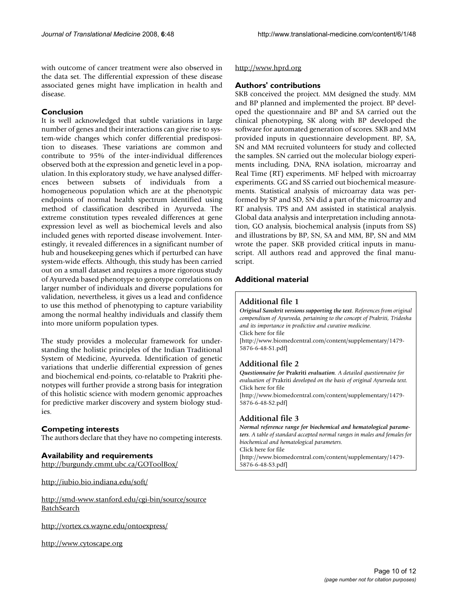with outcome of cancer treatment were also observed in the data set. The differential expression of these disease associated genes might have implication in health and disease.

#### **Conclusion**

It is well acknowledged that subtle variations in large number of genes and their interactions can give rise to system-wide changes which confer differential predisposition to diseases. These variations are common and contribute to 95% of the inter-individual differences observed both at the expression and genetic level in a population. In this exploratory study, we have analysed differences between subsets of individuals from a homogeneous population which are at the phenotypic endpoints of normal health spectrum identified using method of classification described in Ayurveda. The extreme constitution types revealed differences at gene expression level as well as biochemical levels and also included genes with reported disease involvement. Interestingly, it revealed differences in a significant number of hub and housekeeping genes which if perturbed can have system-wide effects. Although, this study has been carried out on a small dataset and requires a more rigorous study of Ayurveda based phenotype to genotype correlations on larger number of individuals and diverse populations for validation, nevertheless, it gives us a lead and confidence to use this method of phenotyping to capture variability among the normal healthy individuals and classify them into more uniform population types.

The study provides a molecular framework for understanding the holistic principles of the Indian Traditional System of Medicine, Ayurveda. Identification of genetic variations that underlie differential expression of genes and biochemical end-points, co-relatable to Prakriti phenotypes will further provide a strong basis for integration of this holistic science with modern genomic approaches for predictive marker discovery and system biology studies.

#### **Competing interests**

The authors declare that they have no competing interests.

#### **Availability and requirements**

http://burgundy.cmmt.ubc.ca/GOToolBox/

http://iubio.bio.indiana.edu/soft/

http://smd-www.stanford.edu/cgi-bin/source/source BatchSearch

http://vortex.cs.wayne.edu/ontoexpress/

http://www.cytoscape.org

#### http://www.hprd.org

#### **Authors' contributions**

SKB conceived the project. MM designed the study. MM and BP planned and implemented the project. BP developed the questionnaire and BP and SA carried out the clinical phenotyping, SK along with BP developed the software for automated generation of scores. SKB and MM provided inputs in questionnaire development. BP, SA, SN and MM recruited volunteers for study and collected the samples. SN carried out the molecular biology experiments including, DNA, RNA isolation, microarray and Real Time (RT) experiments. MF helped with microarray experiments. GG and SS carried out biochemical measurements. Statistical analysis of microarray data was performed by SP and SD, SN did a part of the microarray and RT analysis. TPS and AM assisted in statistical analysis. Global data analysis and interpretation including annotation, GO analysis, biochemical analysis (inputs from SS) and illustrations by BP, SN, SA and MM, BP, SN and MM wrote the paper. SKB provided critical inputs in manuscript. All authors read and approved the final manuscript.

### **Additional material**

#### **Additional file 1**

*Original Sanskrit versions supporting the text. References from original compendium of Ayurveda, pertaining to the concept of Prakriti, Tridosha and its importance in predictive and curative medicine.* Click here for file

[\[http://www.biomedcentral.com/content/supplementary/1479-](http://www.biomedcentral.com/content/supplementary/1479-5876-6-48-S1.pdf) 5876-6-48-S1.pdf]

# **Additional file 2**

*Questionnaire for* **Prakriti** *evaluation. A detailed questionnaire for evaluation of* Prakriti *developed on the basis of original Ayurveda text.* Click here for file [\[http://www.biomedcentral.com/content/supplementary/1479-](http://www.biomedcentral.com/content/supplementary/1479-5876-6-48-S2.pdf)

5876-6-48-S2.pdf]

#### **Additional file 3**

*Normal reference range for biochemical and hematological parameters. A table of standard accepted normal ranges in males and females for biochemical and hematological parameters.* Click here for file [\[http://www.biomedcentral.com/content/supplementary/1479-](http://www.biomedcentral.com/content/supplementary/1479-5876-6-48-S3.pdf) 5876-6-48-S3.pdf]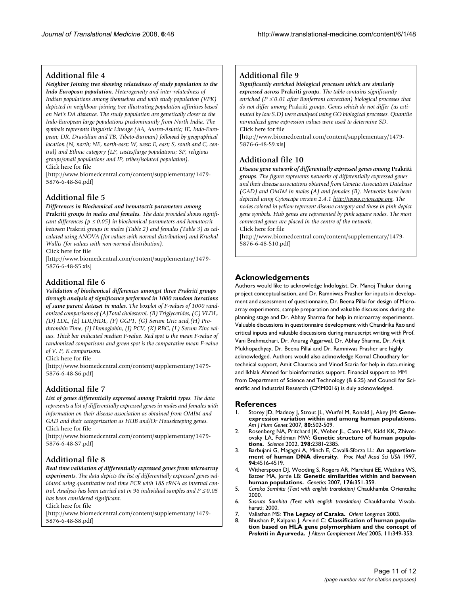# **Additional file 4**

*Neighbor Joining tree showing relatedness of study population to the Indo European population. Heterogeneity and inter-relatedness of Indian populations among themselves and with study population (VPK) depicted in neighbour-joining tree illustrating population affinities based on Nei's DA distance. The study population are genetically closer to the Indo-European large populations predominantly from North India. The symbols represents linguistic Lineage (AA, Austro-Asiatic; IE, Indo-European; DR, Dravidian and TB, Tibeto-Burman) followed by geographical location (N, north; NE, north-east; W, west; E, east; S, south and C, central) and Ethnic category (LP, castes/large populations; SP, religious groups/small populations and IP, tribes/isolated population).* Click here for file

[\[http://www.biomedcentral.com/content/supplementary/1479-](http://www.biomedcentral.com/content/supplementary/1479-5876-6-48-S4.pdf) 5876-6-48-S4.pdf]

# **Additional file 5**

#### *Differences in Biochemical and hematocrit parameters among*

**Prakriti** *groups in males and females. The data provided shows significant differences (p* ≤ *0.05) in biochemical parameters and hematocrit between* Prakriti *groups in males (Table 2) and females (Table 3) as calculated using ANOVA (for values with normal distribution) and Kruskal Wallis (for values with non-normal distribution).*

Click here for file

[\[http://www.biomedcentral.com/content/supplementary/1479-](http://www.biomedcentral.com/content/supplementary/1479-5876-6-48-S5.xls) 5876-6-48-S5.xls]

# **Additional file 6**

*Validation of biochemical differences amongst three Prakriti groups through analysis of significance performed in 1000 random iterations of same parent dataset in males. The boxplot of F-values of 1000 randomized comparisons of (A)Total cholesterol, (B) Triglycerides, (C) VLDL, (D) LDL, (E) LDL/HDL, (F) GGPT, (G) Serum Uric acid,(H) Prothrombin Time, (I) Hemoglobin, (J) PCV, (K) RBC, (L) Serum Zinc values. Thick bar indicated median F-value. Red spot is the mean F-value of randomized comparisons and green spot is the comparative mean F-value of V, P, K comparisons.*

Click here for file

[\[http://www.biomedcentral.com/content/supplementary/1479-](http://www.biomedcentral.com/content/supplementary/1479-5876-6-48-S6.pdf) 5876-6-48-S6.pdf]

# **Additional file 7**

*List of genes differentially expressed among* **Prakriti** *types. The data represents a list of differentially expressed genes in males and females with information on their disease association as obtained from OMIM and GAD and their categorization as HUB and/Or Housekeeping genes.* Click here for file

[\[http://www.biomedcentral.com/content/supplementary/1479-](http://www.biomedcentral.com/content/supplementary/1479-5876-6-48-S7.pdf) 5876-6-48-S7.pdf]

# **Additional file 8**

*Real time validation of differentially expressed genes from microarray experiments. The data depicts the list of differentially expressed genes validated using quantitative real time PCR with 18S rRNA as internal control. Analysis has been carried out in 96 individual samples and*  $P \le 0.05$ *has been considered significant.*

Click here for file

[\[http://www.biomedcentral.com/content/supplementary/1479-](http://www.biomedcentral.com/content/supplementary/1479-5876-6-48-S8.pdf) 5876-6-48-S8.pdf]

# **Additional file 9**

*Significantly enriched biological processes which are similarly expressed across* **Prakriti** *groups. The table contains significantly enriched (P* ≤ *0.01 after Bonferroni correction) biological processes that do not differ among* Prakriti *groups. Genes which do not differ (as estimated by low S.D) were analysed using GO biological processes. Quantile normalized gene expression values were used to determine SD.* Click here for file

[\[http://www.biomedcentral.com/content/supplementary/1479-](http://www.biomedcentral.com/content/supplementary/1479-5876-6-48-S9.xls) 5876-6-48-S9.xls]

### **Additional file 10**

*Disease gene network of differentially expressed genes among* **Prakriti**  *groups. The figure represents networks of differentially expressed genes and their disease associations obtained from Genetic Association Database (GAD) and OMIM in males (A) and females (B). Networks have been depicted using Cytoscape version 2.4.1 [http://www.cytoscape.org.](http://www.cytoscape.org) The nodes colored in yellow represent disease category and those in pink depict gene symbols. Hub genes are represented by pink square nodes. The most connected genes are placed in the centre of the network.*

Click here for file

[\[http://www.biomedcentral.com/content/supplementary/1479-](http://www.biomedcentral.com/content/supplementary/1479-5876-6-48-S10.pdf) 5876-6-48-S10.pdf]

# **Acknowledgements**

Authors would like to acknowledge Indologist, Dr. Manoj Thakur during project conceptualisation, and Dr. Ramniwas Prasher for inputs in development and assessment of questionnaire, Dr. Beena Pillai for design of Microarray experiments, sample preparation and valuable discussions during the planning stage and Dr. Abhay Sharma for help in microarray experiments. Valuable discussions in questionnaire development with Chandrika Rao and critical inputs and valuable discussions during manuscript writing with Prof. Vani Brahmachari, Dr. Anurag Aggarwal, Dr. Abhay Sharma, Dr. Arijit Mukhopadhyay, Dr. Beena Pillai and Dr. Ramniwas Prasher are highly acknowledged. Authors would also acknowledge Komal Choudhary for technical support, Amit Chaurasia and Vinod Scaria for help in data-mining and Ikhlak Ahmed for bioinformatics support. Financial support to MM from Department of Science and Technology (B 6.25) and Council for Scientific and Industrial Research (CMM0016) is duly acknowledged.

#### **References**

- 1. Storey JD, Madeoy J, Strout JL, Wurfel M, Ronald J, Akey JM: **[Gene](http://www.ncbi.nlm.nih.gov/entrez/query.fcgi?cmd=Retrieve&db=PubMed&dopt=Abstract&list_uids=17273971)[expression variation within and among human populations.](http://www.ncbi.nlm.nih.gov/entrez/query.fcgi?cmd=Retrieve&db=PubMed&dopt=Abstract&list_uids=17273971)** *Am J Hum Genet* 2007, **80:**502-509.
- 2. Rosenberg NA, Pritchard JK, Weber JL, Cann HM, Kidd KK, Zhivotovsky LA, Feldman MW: **[Genetic structure of human popula](http://www.ncbi.nlm.nih.gov/entrez/query.fcgi?cmd=Retrieve&db=PubMed&dopt=Abstract&list_uids=12493913)[tions.](http://www.ncbi.nlm.nih.gov/entrez/query.fcgi?cmd=Retrieve&db=PubMed&dopt=Abstract&list_uids=12493913)** *Science* 2002, **298:**2381-2385.
- 3. Barbujani G, Magagni A, Minch E, Cavalli-Sforza LL: **[An apportion](http://www.ncbi.nlm.nih.gov/entrez/query.fcgi?cmd=Retrieve&db=PubMed&dopt=Abstract&list_uids=9114021)[ment of human DNA diversity.](http://www.ncbi.nlm.nih.gov/entrez/query.fcgi?cmd=Retrieve&db=PubMed&dopt=Abstract&list_uids=9114021)** *Proc Natl Acad Sci USA* 1997, **94:**4516-4519.
- 4. Witherspoon DJ, Wooding S, Rogers AR, Marchani EE, Watkins WS, Batzer MA, Jorde LB: **[Genetic similarities within and between](http://www.ncbi.nlm.nih.gov/entrez/query.fcgi?cmd=Retrieve&db=PubMed&dopt=Abstract&list_uids=17339205) [human populations.](http://www.ncbi.nlm.nih.gov/entrez/query.fcgi?cmd=Retrieve&db=PubMed&dopt=Abstract&list_uids=17339205)** *Genetics* 2007, **176:**351-359.
- 5. *Caraka Samhita (Text with english translation)* Chaukhamba Orientalia; 2000.
- 6. *Susruta Samhita (Text with english translation)* Chaukhamba Visvabharati; 2000.
- 7. Valiathan MS: **The Legacy of Caraka.** *Orient Longman* 2003.
- Bhushan P, Kalpana J, Arvind C: Classification of human popula**tion based on HLA gene polymorphism and the concept of** *Prakriti* **[in Ayurveda.](http://www.ncbi.nlm.nih.gov/entrez/query.fcgi?cmd=Retrieve&db=PubMed&dopt=Abstract&list_uids=15865503)** *J Altern Complement Med* 2005, **11:**349-353.